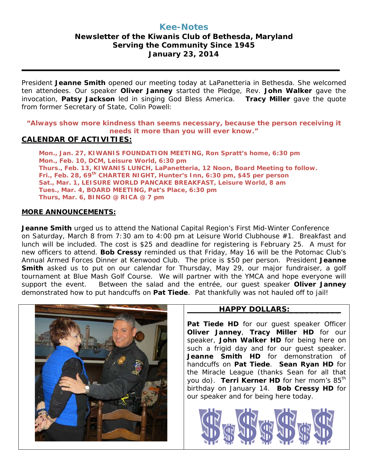# **Kee-Notes**

## **Newsletter of the Kiwanis Club of Bethesda, Maryland Serving the Community Since 1945 January 23, 2014**

President **Jeanne Smith** opened our meeting today at LaPanetteria in Bethesda. She welcomed ten attendees. Our speaker **Oliver Janney** started the Pledge, Rev. **John Walker** gave the invocation, **Patsy Jackson** led in singing God Bless America. **Tracy Miller** gave the quote from former Secretary of State, Colin Powell:

### **"Always show more kindness than seems necessary, because the person receiving it needs it more than you will ever know."**

## **CALENDAR OF ACTIVITIES:**

**Mon., Jan. 27, KIWANIS FOUNDATION MEETING, Ron Spratt's home, 6:30 pm Mon., Feb. 10, DCM, Leisure World, 6:30 pm Thurs., Feb. 13, KIWANIS LUNCH, LaPanetteria, 12 Noon, Board Meeting to follow. Fri., Feb. 28, 69th CHARTER NIGHT, Hunter's Inn, 6:30 pm, \$45 per person Sat., Mar. 1, LEISURE WORLD PANCAKE BREAKFAST, Leisure World, 8 am Tues., Mar. 4, BOARD MEETING, Pat's Place, 6:30 pm Thurs, Mar. 6, BINGO @ RICA @ 7 pm**

### **MORE ANNOUNCEMENTS:**

**Jeanne Smith** urged us to attend the National Capital Region's First Mid-Winter Conference on Saturday, March 8 from 7:30 am to 4:00 pm at Leisure World Clubhouse #1. Breakfast and lunch will be included. The cost is \$25 and deadline for registering is February 25. A must for new officers to attend. **Bob Cressy** reminded us that Friday, May 16 will be the Potomac Club's Annual Armed Forces Dinner at Kenwood Club. The price is \$50 per person. President **Jeanne Smith** asked us to put on our calendar for Thursday, May 29, our major fundraiser, a golf tournament at Blue Mash Golf Course. We will partner with the YMCA and hope everyone will support the event. Between the salad and the entrée, our guest speaker **Oliver Janney** demonstrated how to put handcuffs on **Pat Tiede**. Pat thankfully was not hauled off to jail!



### **HAPPY DOLLARS:\_\_\_\_\_\_\_\_\_\_**

Pat Tiede HD for our quest speaker Officer **Oliver Janney**, **Tracy Miller HD** for our speaker, **John Walker HD** for being here on such a frigid day and for our guest speaker. **Jeanne Smith HD** for demonstration of handcuffs on **Pat Tiede**. **Sean Ryan HD** for the Miracle League (thanks Sean for all that you do). **Terri Kerner HD** for her mom's 85<sup>th</sup> birthday on January 14. **Bob Cressy HD** for our speaker and for being here today.